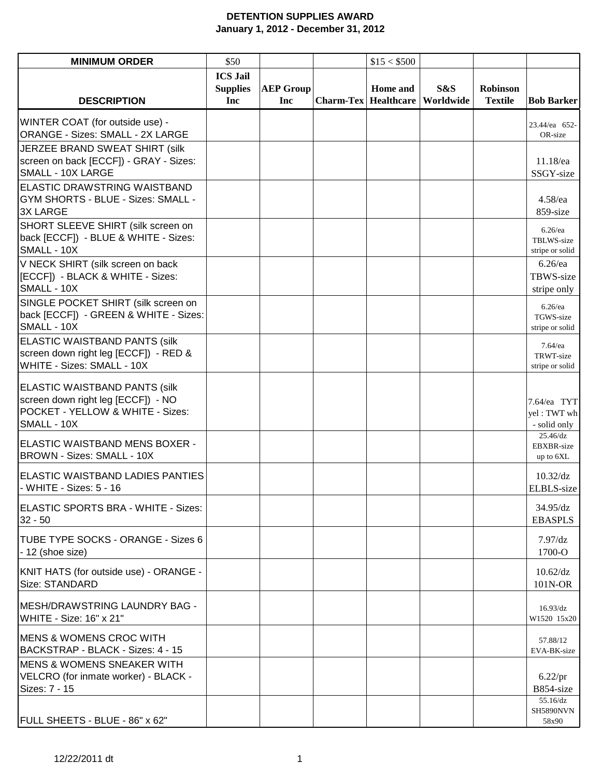## **DETENTION SUPPLIES AWARD January 1, 2012 - December 31, 2012**

| <b>MINIMUM ORDER</b>                                                                                                          | \$50                               |                  | \$15 < \$500                |           |                |                                             |
|-------------------------------------------------------------------------------------------------------------------------------|------------------------------------|------------------|-----------------------------|-----------|----------------|---------------------------------------------|
|                                                                                                                               | <b>ICS Jail</b><br><b>Supplies</b> | <b>AEP Group</b> | Home and                    | S&S       | Robinson       |                                             |
| <b>DESCRIPTION</b>                                                                                                            | Inc                                | Inc              | <b>Charm-Tex Healthcare</b> | Worldwide | <b>Textile</b> | <b>Bob Barker</b>                           |
| WINTER COAT (for outside use) -<br>ORANGE - Sizes: SMALL - 2X LARGE                                                           |                                    |                  |                             |           |                | 23.44/ea 652-<br>OR-size                    |
| JERZEE BRAND SWEAT SHIRT (silk<br>screen on back [ECCF]) - GRAY - Sizes:<br>SMALL - 10X LARGE                                 |                                    |                  |                             |           |                | 11.18/ea<br>SSGY-size                       |
| ELASTIC DRAWSTRING WAISTBAND<br>GYM SHORTS - BLUE - Sizes: SMALL -<br><b>3X LARGE</b>                                         |                                    |                  |                             |           |                | $4.58$ /ea<br>859-size                      |
| SHORT SLEEVE SHIRT (silk screen on<br>back [ECCF]) - BLUE & WHITE - Sizes:<br>SMALL - 10X                                     |                                    |                  |                             |           |                | $6.26$ /ea<br>TBLWS-size<br>stripe or solid |
| V NECK SHIRT (silk screen on back<br>[[ECCF]) - BLACK & WHITE - Sizes:<br>SMALL - 10X                                         |                                    |                  |                             |           |                | $6.26$ /ea<br>TBWS-size<br>stripe only      |
| SINGLE POCKET SHIRT (silk screen on<br>back [ECCF]) - GREEN & WHITE - Sizes:<br>SMALL - 10X                                   |                                    |                  |                             |           |                | $6.26$ /ea<br>TGWS-size<br>stripe or solid  |
| <b>ELASTIC WAISTBAND PANTS (silk</b><br>screen down right leg [ECCF]) - RED &<br>WHITE - Sizes: SMALL - 10X                   |                                    |                  |                             |           |                | $7.64$ /ea<br>TRWT-size<br>stripe or solid  |
| <b>ELASTIC WAISTBAND PANTS (silk</b><br>screen down right leg [ECCF]) - NO<br>POCKET - YELLOW & WHITE - Sizes:<br>SMALL - 10X |                                    |                  |                             |           |                | 7.64/ea TYT<br>yel: TWT wh<br>- solid only  |
| ELASTIC WAISTBAND MENS BOXER -<br>BROWN - Sizes: SMALL - 10X                                                                  |                                    |                  |                             |           |                | 25.46/dz<br>EBXBR-size<br>up to 6XL         |
| <b>ELASTIC WAISTBAND LADIES PANTIES</b><br>- WHITE - Sizes: 5 - 16                                                            |                                    |                  |                             |           |                | $10.32$ /dz<br>ELBLS-size                   |
| ELASTIC SPORTS BRA - WHITE - Sizes:<br>$32 - 50$                                                                              |                                    |                  |                             |           |                | $34.95$ /dz<br><b>EBASPLS</b>               |
| <b>ITUBE TYPE SOCKS - ORANGE - Sizes 6</b><br>$-12$ (shoe size)                                                               |                                    |                  |                             |           |                | 7.97/dz<br>1700-O                           |
| KNIT HATS (for outside use) - ORANGE -<br>Size: STANDARD                                                                      |                                    |                  |                             |           |                | $10.62$ /dz<br>101N-OR                      |
| IMESH/DRAWSTRING LAUNDRY BAG -<br>WHITE - Size: 16" x 21"                                                                     |                                    |                  |                             |           |                | $16.93$ /dz<br>W1520 15x20                  |
| <b>MENS &amp; WOMENS CROC WITH</b><br>BACKSTRAP - BLACK - Sizes: 4 - 15                                                       |                                    |                  |                             |           |                | 57.88/12<br>EVA-BK-size                     |
| <b>MENS &amp; WOMENS SNEAKER WITH</b><br>VELCRO (for inmate worker) - BLACK -<br>Sizes: 7 - 15                                |                                    |                  |                             |           |                | $6.22$ /pr<br>B854-size                     |
| FULL SHEETS - BLUE - 86" x 62"                                                                                                |                                    |                  |                             |           |                | 55.16/dz<br>SH5890NVN<br>58x90              |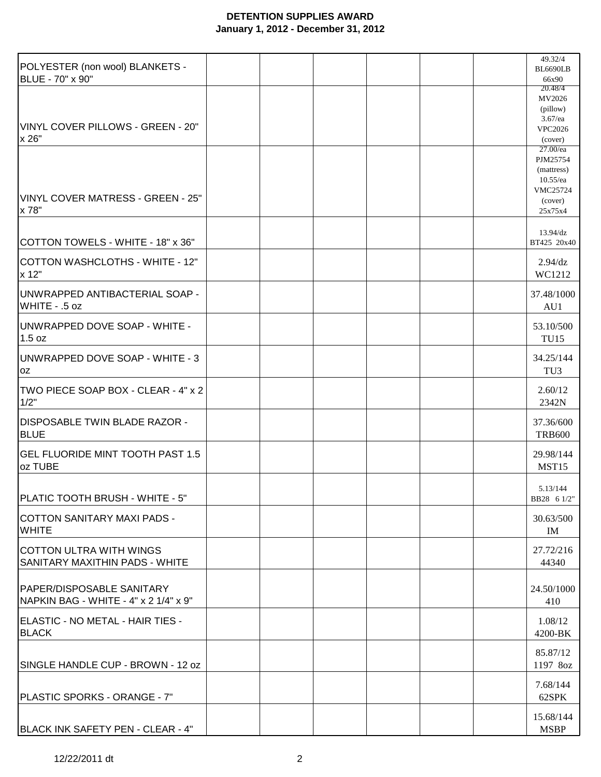## **DETENTION SUPPLIES AWARD January 1, 2012 - December 31, 2012**

|                                                     |  |  |  | 49.32/4             |
|-----------------------------------------------------|--|--|--|---------------------|
| POLYESTER (non wool) BLANKETS -<br>BLUE - 70" x 90" |  |  |  | <b>BL6690LB</b>     |
|                                                     |  |  |  | 66x90<br>20.48/4    |
|                                                     |  |  |  | MV2026              |
|                                                     |  |  |  | (pillow)            |
|                                                     |  |  |  | $3.67$ /ea          |
| VINYL COVER PILLOWS - GREEN - 20"                   |  |  |  | <b>VPC2026</b>      |
| x 26"                                               |  |  |  | (cover)<br>27.00/ea |
|                                                     |  |  |  | PJM25754            |
|                                                     |  |  |  | (mattress)          |
|                                                     |  |  |  | $10.55$ /ea         |
|                                                     |  |  |  | VMC25724            |
| VINYL COVER MATRESS - GREEN - 25"                   |  |  |  | (cover)             |
| x 78"                                               |  |  |  | 25x75x4             |
|                                                     |  |  |  | $13.94$ /dz         |
| COTTON TOWELS - WHITE - 18" x 36"                   |  |  |  | BT425 20x40         |
|                                                     |  |  |  |                     |
| <b>COTTON WASHCLOTHS - WHITE - 12"</b>              |  |  |  | $2.94$ /dz          |
| x 12"                                               |  |  |  | WC1212              |
|                                                     |  |  |  |                     |
| UNWRAPPED ANTIBACTERIAL SOAP -                      |  |  |  | 37.48/1000          |
| WHITE - .5 oz                                       |  |  |  | AU1                 |
| UNWRAPPED DOVE SOAP - WHITE -                       |  |  |  | 53.10/500           |
| 1.5 oz                                              |  |  |  | <b>TU15</b>         |
|                                                     |  |  |  |                     |
| UNWRAPPED DOVE SOAP - WHITE - 3                     |  |  |  | 34.25/144           |
| 0Z                                                  |  |  |  | TU <sub>3</sub>     |
|                                                     |  |  |  |                     |
| TWO PIECE SOAP BOX - CLEAR - 4" x 2                 |  |  |  | 2.60/12             |
| 1/2"                                                |  |  |  | 2342N               |
| IDISPOSABLE TWIN BLADE RAZOR -                      |  |  |  | 37.36/600           |
| <b>BLUE</b>                                         |  |  |  | <b>TRB600</b>       |
|                                                     |  |  |  |                     |
| <b>GEL FLUORIDE MINT TOOTH PAST 1.5</b>             |  |  |  | 29.98/144           |
| oz TUBE                                             |  |  |  | MST15               |
|                                                     |  |  |  |                     |
|                                                     |  |  |  | 5.13/144            |
| PLATIC TOOTH BRUSH - WHITE - 5"                     |  |  |  | BB28 6 1/2"         |
| COTTON SANITARY MAXI PADS -                         |  |  |  | 30.63/500           |
| <b>WHITE</b>                                        |  |  |  | IM                  |
|                                                     |  |  |  |                     |
| <b>COTTON ULTRA WITH WINGS</b>                      |  |  |  | 27.72/216           |
| SANITARY MAXITHIN PADS - WHITE                      |  |  |  | 44340               |
|                                                     |  |  |  |                     |
| PAPER/DISPOSABLE SANITARY                           |  |  |  | 24.50/1000          |
| NAPKIN BAG - WHITE - 4" x 2 1/4" x 9"               |  |  |  | 410                 |
|                                                     |  |  |  |                     |
| ELASTIC - NO METAL - HAIR TIES -                    |  |  |  | 1.08/12             |
| <b>BLACK</b>                                        |  |  |  | 4200-BK             |
|                                                     |  |  |  |                     |
|                                                     |  |  |  | 85.87/12            |
| SINGLE HANDLE CUP - BROWN - 12 oz                   |  |  |  | 1197 8oz            |
|                                                     |  |  |  | 7.68/144            |
| PLASTIC SPORKS - ORANGE - 7"                        |  |  |  | 62SPK               |
|                                                     |  |  |  |                     |
|                                                     |  |  |  | 15.68/144           |
| BLACK INK SAFETY PEN - CLEAR - 4"                   |  |  |  | <b>MSBP</b>         |